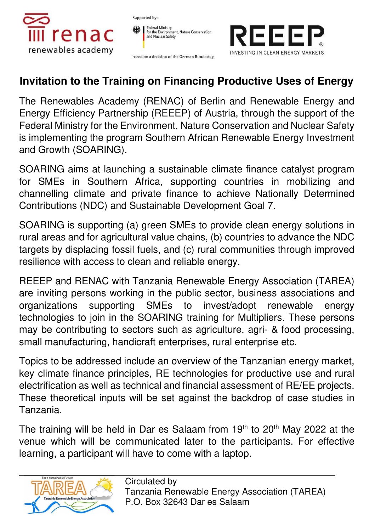

Supported by:





based on a decision of the German Bundestag

## **Invitation to the Training on Financing Productive Uses of Energy**

The Renewables Academy (RENAC) of Berlin and Renewable Energy and Energy Efficiency Partnership (REEEP) of Austria, through the support of the Federal Ministry for the Environment, Nature Conservation and Nuclear Safety is implementing the program Southern African Renewable Energy Investment and Growth (SOARING).

SOARING aims at launching a sustainable climate finance catalyst program for SMEs in Southern Africa, supporting countries in mobilizing and channelling climate and private finance to achieve Nationally Determined Contributions (NDC) and Sustainable Development Goal 7.

SOARING is supporting (a) green SMEs to provide clean energy solutions in rural areas and for agricultural value chains, (b) countries to advance the NDC targets by displacing fossil fuels, and (c) rural communities through improved resilience with access to clean and reliable energy.

REEEP and RENAC with Tanzania Renewable Energy Association (TAREA) are inviting persons working in the public sector, business associations and organizations supporting SMEs to invest/adopt renewable energy technologies to join in the SOARING training for Multipliers. These persons may be contributing to sectors such as agriculture, agri- & food processing, small manufacturing, handicraft enterprises, rural enterprise etc.

Topics to be addressed include an overview of the Tanzanian energy market, key climate finance principles, RE technologies for productive use and rural electrification as well as technical and financial assessment of RE/EE projects. These theoretical inputs will be set against the backdrop of case studies in Tanzania.

The training will be held in Dar es Salaam from  $19<sup>th</sup>$  to 20<sup>th</sup> May 2022 at the venue which will be communicated later to the participants. For effective learning, a participant will have to come with a laptop.